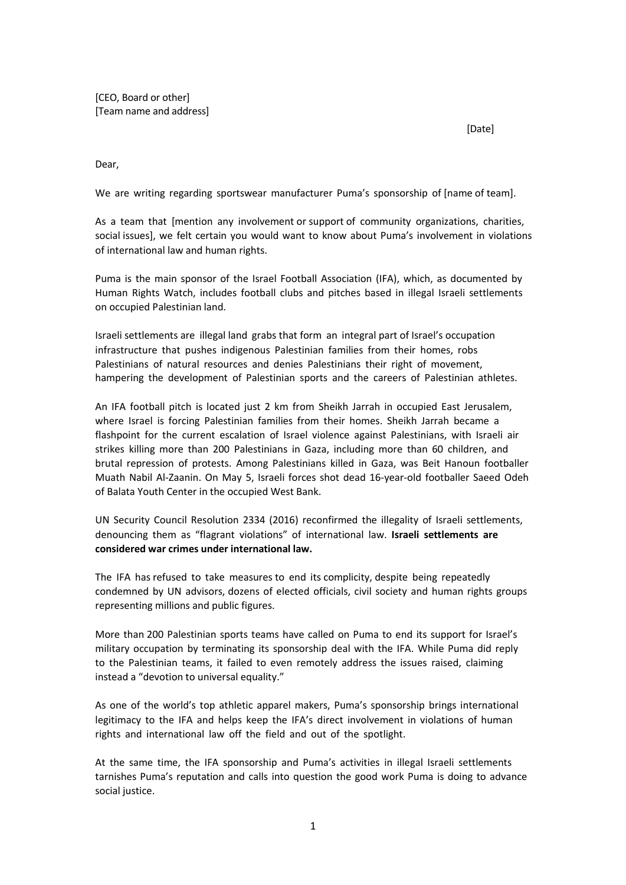[CEO, Board or other] [Team name and address]

[Date]

Dear,

We are writing regarding sportswear manufacturer Puma's sponsorship of [name of team].

As a team that [mention any involvement or support of community organizations, charities, social issues], we felt certain you would want to know about Puma's involvement in violations of international law and human rights.

Puma is the main sponsor of the Israel Football Association (IFA), which, as documented by Human Rights Watch, includes football clubs and pitches based in illegal Israeli settlements on occupied Palestinian land.

Israeli settlements are illegal land grabs that form an integral part of Israel's occupation infrastructure that pushes indigenous Palestinian families from their homes, robs Palestinians of natural resources and denies Palestinians their right of movement, hampering the development of Palestinian sports and the careers of Palestinian athletes.

An IFA football pitch is located just 2 km from Sheikh Jarrah in occupied East Jerusalem, where Israel is forcing Palestinian families from their homes. Sheikh Jarrah became a flashpoint for the current escalation of Israel violence against Palestinians, with Israeli air strikes killing more than 200 Palestinians in Gaza, including more than 60 children, and brutal repression of protests. Among Palestinians killed in Gaza, was Beit Hanoun footballer Muath Nabil Al-Zaanin. On May 5, Israeli forces shot dead 16-year-old footballer Saeed Odeh of Balata Youth Center in the occupied West Bank.

UN Security Council Resolution 2334 (2016) reconfirmed the illegality of Israeli settlements, denouncing them as "flagrant violations" of international law. **Israeli settlements are considered war crimes under international law.**

The IFA has refused to take measures to end its complicity, despite being repeatedly condemned by UN advisors, dozens of elected officials, civil society and human rights groups representing millions and public figures.

More than 200 Palestinian sports teams have called on Puma to end its support for Israel's military occupation by terminating its sponsorship deal with the IFA. While Puma did reply to the Palestinian teams, it failed to even remotely address the issues raised, claiming instead a "devotion to universal equality."

As one of the world's top athletic apparel makers, Puma's sponsorship brings international legitimacy to the IFA and helps keep the IFA's direct involvement in violations of human rights and international law off the field and out of the spotlight.

At the same time, the IFA sponsorship and Puma's activities in illegal Israeli settlements tarnishes Puma's reputation and calls into question the good work Puma is doing to advance social justice.